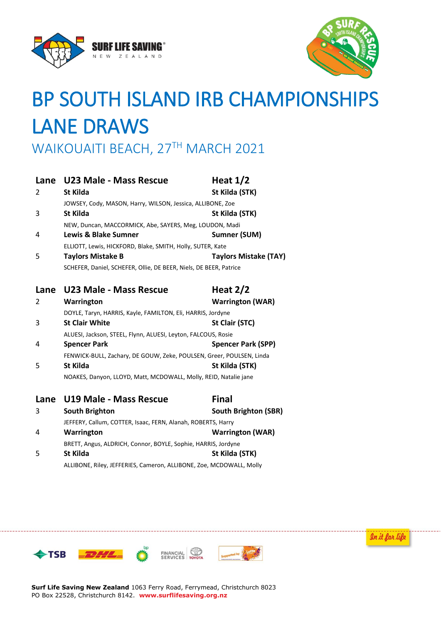



# BP SOUTH ISLAND IRB CHAMPIONSHIPS LANE DRAWS

WAIKOUAITI BEACH, 27TH MARCH 2021

| Lane | <b>U23 Male - Mass Rescue</b>                                                           | Heat $1/2$                   |
|------|-----------------------------------------------------------------------------------------|------------------------------|
| 2    | St Kilda                                                                                | St Kilda (STK)               |
|      | JOWSEY, Cody, MASON, Harry, WILSON, Jessica, ALLIBONE, Zoe                              |                              |
| 3    | St Kilda                                                                                | St Kilda (STK)               |
|      | NEW, Duncan, MACCORMICK, Abe, SAYERS, Meg, LOUDON, Madi                                 |                              |
| 4    | <b>Lewis &amp; Blake Sumner</b>                                                         | Sumner (SUM)                 |
|      | ELLIOTT, Lewis, HICKFORD, Blake, SMITH, Holly, SUTER, Kate                              |                              |
| 5    | <b>Taylors Mistake B</b>                                                                | <b>Taylors Mistake (TAY)</b> |
|      | SCHEFER, Daniel, SCHEFER, Ollie, DE BEER, Niels, DE BEER, Patrice                       |                              |
| Lane | U23 Male - Mass Rescue                                                                  | Heat $2/2$                   |
| 2    | Warrington                                                                              | <b>Warrington (WAR)</b>      |
|      | DOYLE, Taryn, HARRIS, Kayle, FAMILTON, Eli, HARRIS, Jordyne                             |                              |
| 3    | <b>St Clair White</b>                                                                   | St Clair (STC)               |
|      | ALUESI, Jackson, STEEL, Flynn, ALUESI, Leyton, FALCOUS, Rosie                           |                              |
| 4    | <b>Spencer Park</b>                                                                     | <b>Spencer Park (SPP)</b>    |
| 5    | FENWICK-BULL, Zachary, DE GOUW, Zeke, POULSEN, Greer, POULSEN, Linda<br><b>St Kilda</b> | St Kilda (STK)               |
|      | NOAKES, Danyon, LLOYD, Matt, MCDOWALL, Molly, REID, Natalie jane                        |                              |
| Lane | <b>U19 Male - Mass Rescue</b>                                                           | <b>Final</b>                 |
| 3    | <b>South Brighton</b>                                                                   | <b>South Brighton (SBR)</b>  |
| 4    | JEFFERY, Callum, COTTER, Isaac, FERN, Alanah, ROBERTS, Harry<br>Warrington              | <b>Warrington (WAR)</b>      |
|      | BRETT, Angus, ALDRICH, Connor, BOYLE, Sophie, HARRIS, Jordyne                           |                              |
| 5    | <b>St Kilda</b>                                                                         | St Kilda (STK)               |
|      | ALLIBONE, Riley, JEFFERIES, Cameron, ALLIBONE, Zoe, MCDOWALL, Molly                     |                              |



 $\bigtriangleup$ TSB



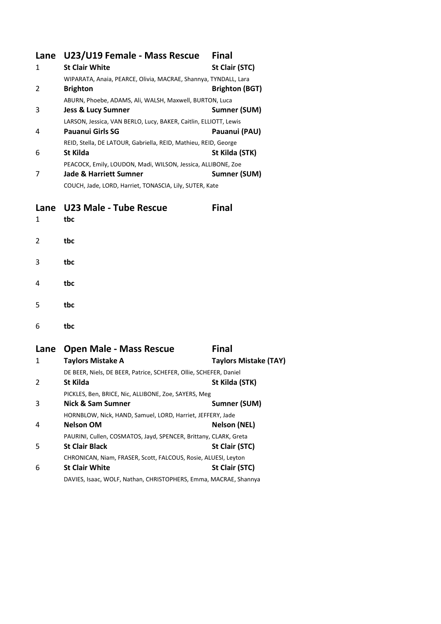|   | Lane U23/U19 Female - Mass Rescue                                                            | <b>Final</b>          |
|---|----------------------------------------------------------------------------------------------|-----------------------|
| 1 | <b>St Clair White</b>                                                                        | St Clair (STC)        |
| 2 | WIPARATA, Anaia, PEARCE, Olivia, MACRAE, Shannya, TYNDALL, Lara<br><b>Brighton</b>           | <b>Brighton (BGT)</b> |
| 3 | ABURN, Phoebe, ADAMS, Ali, WALSH, Maxwell, BURTON, Luca<br><b>Jess &amp; Lucy Sumner</b>     | Sumner (SUM)          |
| 4 | LARSON, Jessica, VAN BERLO, Lucy, BAKER, Caitlin, ELLIOTT, Lewis<br>Pauanui Girls SG         | Pauanui (PAU)         |
| 6 | REID, Stella, DE LATOUR, Gabriella, REID, Mathieu, REID, George<br>St Kilda                  | St Kilda (STK)        |
|   | PEACOCK, Emily, LOUDON, Madi, WILSON, Jessica, ALLIBONE, Zoe                                 |                       |
| 7 | <b>Jade &amp; Harriett Sumner</b><br>COUCH, Jade, LORD, Harriet, TONASCIA, Lily, SUTER, Kate | Sumner (SUM)          |

### **Lane U23 Male - Tube Rescue Final**

| $\mathbf{1}$   | tbc                                                                                     |                              |
|----------------|-----------------------------------------------------------------------------------------|------------------------------|
| 2              | tbc                                                                                     |                              |
| 3              | tbc                                                                                     |                              |
| 4              | tbc                                                                                     |                              |
| 5              | tbc                                                                                     |                              |
| 6              | tbc                                                                                     |                              |
|                |                                                                                         |                              |
| Lane           | <b>Open Male - Mass Rescue</b>                                                          | <b>Final</b>                 |
| $\mathbf{1}$   | <b>Taylors Mistake A</b>                                                                | <b>Taylors Mistake (TAY)</b> |
| $\overline{2}$ | DE BEER, Niels, DE BEER, Patrice, SCHEFER, Ollie, SCHEFER, Daniel<br><b>St Kilda</b>    | St Kilda (STK)               |
|                | PICKLES, Ben, BRICE, Nic, ALLIBONE, Zoe, SAYERS, Meg                                    |                              |
| 3              | <b>Nick &amp; Sam Sumner</b>                                                            | Sumner (SUM)                 |
|                | HORNBLOW, Nick, HAND, Samuel, LORD, Harriet, JEFFERY, Jade                              |                              |
| 4              | <b>Nelson OM</b>                                                                        | <b>Nelson (NEL)</b>          |
|                | PAURINI, Cullen, COSMATOS, Jayd, SPENCER, Brittany, CLARK, Greta                        |                              |
| 5              | <b>St Clair Black</b>                                                                   | St Clair (STC)               |
| 6              | CHRONICAN, Niam, FRASER, Scott, FALCOUS, Rosie, ALUESI, Leyton<br><b>St Clair White</b> | St Clair (STC)               |

DAVIES, Isaac, WOLF, Nathan, CHRISTOPHERS, Emma, MACRAE, Shannya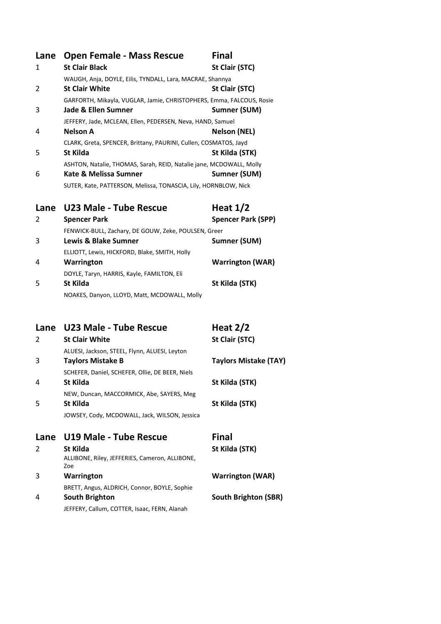| Lane | <b>Open Female - Mass Rescue</b>                                     | <b>Final</b>        |
|------|----------------------------------------------------------------------|---------------------|
| 1    | <b>St Clair Black</b>                                                | St Clair (STC)      |
|      | WAUGH, Anja, DOYLE, Eilis, TYNDALL, Lara, MACRAE, Shannya            |                     |
| 2    | <b>St Clair White</b>                                                | St Clair (STC)      |
|      | GARFORTH, Mikayla, VUGLAR, Jamie, CHRISTOPHERS, Emma, FALCOUS, Rosie |                     |
| 3    | Jade & Ellen Sumner                                                  | Sumner (SUM)        |
|      | JEFFERY, Jade, MCLEAN, Ellen, PEDERSEN, Neva, HAND, Samuel           |                     |
| 4    | Nelson A                                                             | <b>Nelson (NEL)</b> |
|      | CLARK, Greta, SPENCER, Brittany, PAURINI, Cullen, COSMATOS, Jayd     |                     |
| 5    | <b>St Kilda</b>                                                      | St Kilda (STK)      |
|      | ASHTON, Natalie, THOMAS, Sarah, REID, Natalie jane, MCDOWALL, Molly  |                     |
| 6    | Kate & Melissa Sumner                                                | Sumner (SUM)        |
|      | SUTER, Kate, PATTERSON, Melissa, TONASCIA, Lily, HORNBLOW, Nick      |                     |

#### **Lane** U23 Male - Tube Rescue **Heat 1/2** 2 **Spencer Park Spencer Park (SPP)** FENWICK-BULL, Zachary, DE GOUW, Zeke, POULSEN, Greer 3 **Lewis & Blake Sumner Sumner (SUM)** ELLIOTT, Lewis, HICKFORD, Blake, SMITH, Holly 4 **Warrington Warrington (WAR)** DOYLE, Taryn, HARRIS, Kayle, FAMILTON, Eli 5 **St Kilda St Kilda (STK)** NOAKES, Danyon, LLOYD, Matt, MCDOWALL, Molly

#### **Lane** U23 Male - Tube Rescue **Heat 2/2**

| $\mathcal{L}$ | <b>St Clair White</b>                                                     | St Clair (STC)               |
|---------------|---------------------------------------------------------------------------|------------------------------|
| 3             | ALUESI, Jackson, STEEL, Flynn, ALUESI, Leyton<br><b>Taylors Mistake B</b> | <b>Taylors Mistake (TAY)</b> |
| 4             | SCHEFER, Daniel, SCHEFER, Ollie, DE BEER, Niels<br><b>St Kilda</b>        | St Kilda (STK)               |
| 5             | NEW, Duncan, MACCORMICK, Abe, SAYERS, Meg<br>St Kilda                     | St Kilda (STK)               |
|               | JOWSEY, Cody, MCDOWALL, Jack, WILSON, Jessica                             |                              |
|               |                                                                           |                              |

#### **Lane U19 Male - Tube Rescue Final** 2 **St Kilda St Kilda (STK)** ALLIBONE, Riley, JEFFERIES, Cameron, ALLIBONE, Zoe 3 **Warrington Warrington (WAR)** BRETT, Angus, ALDRICH, Connor, BOYLE, Sophie 4 **South Brighton South Brighton (SBR)** JEFFERY, Callum, COTTER, Isaac, FERN, Alanah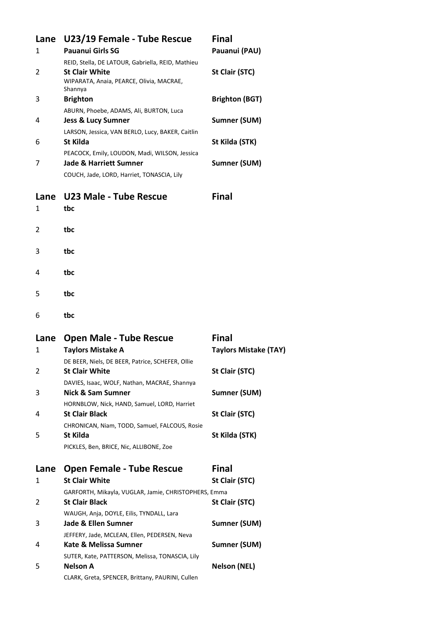| Lane           | U23/19 Female - Tube Rescue                                                                                            | <b>Final</b>          |
|----------------|------------------------------------------------------------------------------------------------------------------------|-----------------------|
| 1              | <b>Pauanui Girls SG</b>                                                                                                | Pauanui (PAU)         |
| $\overline{2}$ | REID, Stella, DE LATOUR, Gabriella, REID, Mathieu<br><b>St Clair White</b><br>WIPARATA, Anaia, PEARCE, Olivia, MACRAE, | St Clair (STC)        |
| 3              | Shannya<br><b>Brighton</b>                                                                                             | <b>Brighton (BGT)</b> |
|                | ABURN, Phoebe, ADAMS, Ali, BURTON, Luca                                                                                |                       |
| 4              | <b>Jess &amp; Lucy Sumner</b>                                                                                          | <b>Sumner (SUM)</b>   |
| 6              | LARSON, Jessica, VAN BERLO, Lucy, BAKER, Caitlin<br><b>St Kilda</b>                                                    | St Kilda (STK)        |
| 7              | PEACOCK, Emily, LOUDON, Madi, WILSON, Jessica<br>Jade & Harriett Sumner                                                | Sumner (SUM)          |
|                | COUCH, Jade, LORD, Harriet, TONASCIA, Lily                                                                             |                       |

| 1 | Lane U23 Male - Tube Rescue<br>tbc | <b>Final</b> |
|---|------------------------------------|--------------|
| 2 | tbc                                |              |
| 3 | tbc                                |              |
| 4 | tbc                                |              |
| 5 | tbc                                |              |

6 **tbc**

| Lane | <b>Open Male - Tube Rescue</b>                                      | <b>Final</b>                 |
|------|---------------------------------------------------------------------|------------------------------|
| 1    | <b>Taylors Mistake A</b>                                            | <b>Taylors Mistake (TAY)</b> |
|      | DE BEER, Niels, DE BEER, Patrice, SCHEFER, Ollie                    |                              |
| 2    | <b>St Clair White</b>                                               | St Clair (STC)               |
|      | DAVIES, Isaac, WOLF, Nathan, MACRAE, Shannya                        |                              |
| 3    | Nick & Sam Sumner                                                   | Sumner (SUM)                 |
|      | HORNBLOW, Nick, HAND, Samuel, LORD, Harriet                         |                              |
| 4    | <b>St Clair Black</b>                                               | St Clair (STC)               |
|      | CHRONICAN, Niam, TODD, Samuel, FALCOUS, Rosie                       |                              |
| 5    | St Kilda                                                            | St Kilda (STK)               |
|      | PICKLES, Ben, BRICE, Nic, ALLIBONE, Zoe                             |                              |
|      |                                                                     |                              |
|      |                                                                     |                              |
| Lane | <b>Open Female - Tube Rescue</b>                                    | <b>Final</b>                 |
| 1    | <b>St Clair White</b>                                               | St Clair (STC)               |
|      | GARFORTH, Mikayla, VUGLAR, Jamie, CHRISTOPHERS, Emma                |                              |
| 2    | <b>St Clair Black</b>                                               | St Clair (STC)               |
|      | WAUGH, Anja, DOYLE, Eilis, TYNDALL, Lara                            |                              |
| 3    | <b>Jade &amp; Ellen Sumner</b>                                      | Sumner (SUM)                 |
|      | JEFFERY, Jade, MCLEAN, Ellen, PEDERSEN, Neva                        |                              |
| 4    | Kate & Melissa Sumner                                               | Sumner (SUM)                 |
|      | SUTER, Kate, PATTERSON, Melissa, TONASCIA, Lily                     |                              |
| 5    | <b>Nelson A</b><br>CLARK, Greta, SPENCER, Brittany, PAURINI, Cullen | <b>Nelson (NEL)</b>          |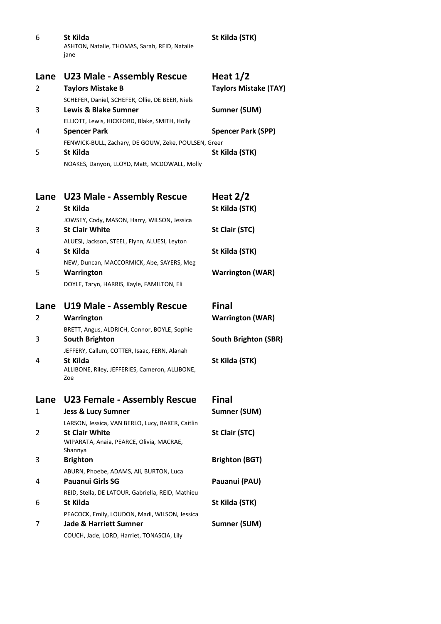| 6                   | St Kilda<br>ASHTON, Natalie, THOMAS, Sarah, REID, Natalie<br>jane                                                                                                                                                                      | St Kilda (STK)                                                                           |
|---------------------|----------------------------------------------------------------------------------------------------------------------------------------------------------------------------------------------------------------------------------------|------------------------------------------------------------------------------------------|
| Lane<br>2           | <b>U23 Male - Assembly Rescue</b><br><b>Taylors Mistake B</b>                                                                                                                                                                          | Heat $1/2$<br><b>Taylors Mistake (TAY)</b>                                               |
| 3                   | SCHEFER, Daniel, SCHEFER, Ollie, DE BEER, Niels<br><b>Lewis &amp; Blake Sumner</b>                                                                                                                                                     | Sumner (SUM)                                                                             |
| 4                   | ELLIOTT, Lewis, HICKFORD, Blake, SMITH, Holly<br><b>Spencer Park</b>                                                                                                                                                                   | <b>Spencer Park (SPP)</b>                                                                |
| 5                   | FENWICK-BULL, Zachary, DE GOUW, Zeke, POULSEN, Greer<br>St Kilda<br>NOAKES, Danyon, LLOYD, Matt, MCDOWALL, Molly                                                                                                                       | St Kilda (STK)                                                                           |
| Lane<br>2           | U23 Male - Assembly Rescue<br><b>St Kilda</b><br>JOWSEY, Cody, MASON, Harry, WILSON, Jessica                                                                                                                                           | Heat $2/2$<br>St Kilda (STK)                                                             |
| 3                   | <b>St Clair White</b><br>ALUESI, Jackson, STEEL, Flynn, ALUESI, Leyton                                                                                                                                                                 | St Clair (STC)                                                                           |
| 4                   | St Kilda<br>NEW, Duncan, MACCORMICK, Abe, SAYERS, Meg                                                                                                                                                                                  | St Kilda (STK)                                                                           |
| 5                   | Warrington<br>DOYLE, Taryn, HARRIS, Kayle, FAMILTON, Eli                                                                                                                                                                               | <b>Warrington (WAR)</b>                                                                  |
| Lane<br>2<br>3<br>4 | U19 Male - Assembly Rescue<br>Warrington<br>BRETT, Angus, ALDRICH, Connor, BOYLE, Sophie<br><b>South Brighton</b><br>JEFFERY, Callum, COTTER, Isaac, FERN, Alanah<br>St Kilda<br>ALLIBONE, Riley, JEFFERIES, Cameron, ALLIBONE,<br>Zoe | <b>Final</b><br><b>Warrington (WAR)</b><br><b>South Brighton (SBR)</b><br>St Kilda (STK) |
| Lane                | U23 Female - Assembly Rescue                                                                                                                                                                                                           | <b>Final</b>                                                                             |
| 1                   | <b>Jess &amp; Lucy Sumner</b><br>LARSON, Jessica, VAN BERLO, Lucy, BAKER, Caitlin                                                                                                                                                      | <b>Sumner (SUM)</b>                                                                      |
| 2                   | <b>St Clair White</b><br>WIPARATA, Anaia, PEARCE, Olivia, MACRAE,<br>Shannya                                                                                                                                                           | St Clair (STC)                                                                           |
| 3                   | <b>Brighton</b>                                                                                                                                                                                                                        | <b>Brighton (BGT)</b>                                                                    |
| 4                   | ABURN, Phoebe, ADAMS, Ali, BURTON, Luca<br><b>Pauanui Girls SG</b>                                                                                                                                                                     | Pauanui (PAU)                                                                            |
| 6                   | REID, Stella, DE LATOUR, Gabriella, REID, Mathieu<br>St Kilda                                                                                                                                                                          | St Kilda (STK)                                                                           |
| 7                   | PEACOCK, Emily, LOUDON, Madi, WILSON, Jessica<br><b>Jade &amp; Harriett Sumner</b><br>COUCH, Jade, LORD, Harriet, TONASCIA, Lily                                                                                                       | Sumner (SUM)                                                                             |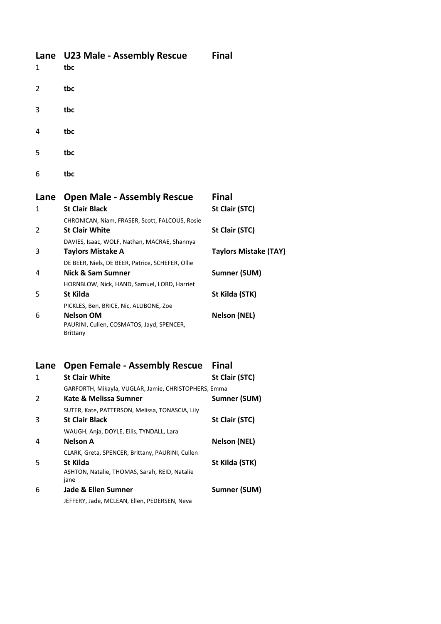| 1 | Lane U23 Male - Assembly Rescue<br>tbc | <b>Final</b> |
|---|----------------------------------------|--------------|
| 2 | tbc                                    |              |
| 3 | tbc                                    |              |
| 4 | tbc                                    |              |
| 5 | tbc                                    |              |

6 **tbc**

| Lane<br>1 | <b>Open Male - Assembly Rescue</b><br><b>St Clair Black</b>             | <b>Final</b><br>St Clair (STC) |
|-----------|-------------------------------------------------------------------------|--------------------------------|
| 2         | CHRONICAN, Niam, FRASER, Scott, FALCOUS, Rosie<br><b>St Clair White</b> | St Clair (STC)                 |
| 3         | DAVIES, Isaac, WOLF, Nathan, MACRAE, Shannya<br>Taylors Mistake A       | <b>Taylors Mistake (TAY)</b>   |
| 4         | DE BEER, Niels, DE BEER, Patrice, SCHEFER, Ollie<br>Nick & Sam Sumner   | Sumner (SUM)                   |
| 5         | HORNBLOW, Nick, HAND, Samuel, LORD, Harriet<br>St Kilda                 | St Kilda (STK)                 |
| 6         | PICKLES, Ben, BRICE, Nic, ALLIBONE, Zoe<br><b>Nelson OM</b>             | <b>Nelson (NEL)</b>            |
|           | PAURINI, Cullen, COSMATOS, Jayd, SPENCER,<br>Brittany                   |                                |

## **Lane Open Female - Assembly Rescue Final**

| 1 | <b>St Clair White</b>                                | St Clair (STC)      |
|---|------------------------------------------------------|---------------------|
|   | GARFORTH, Mikayla, VUGLAR, Jamie, CHRISTOPHERS, Emma |                     |
| 2 | Kate & Melissa Sumner                                | Sumner (SUM)        |
|   | SUTER, Kate, PATTERSON, Melissa, TONASCIA, Lily      |                     |
| 3 | <b>St Clair Black</b>                                | St Clair (STC)      |
|   | WAUGH, Anja, DOYLE, Eilis, TYNDALL, Lara             |                     |
| 4 | <b>Nelson A</b>                                      | <b>Nelson (NEL)</b> |
|   | CLARK, Greta, SPENCER, Brittany, PAURINI, Cullen     |                     |
| 5 | St Kilda                                             | St Kilda (STK)      |
|   | ASHTON, Natalie, THOMAS, Sarah, REID, Natalie        |                     |
|   | jane                                                 |                     |
| 6 | Jade & Ellen Sumner                                  | Sumner (SUM)        |
|   | JEFFERY, Jade, MCLEAN, Ellen, PEDERSEN, Neva         |                     |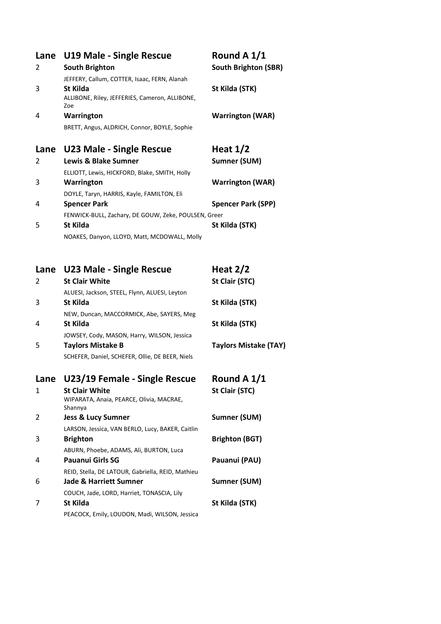| Lane<br>2     | <b>U19 Male - Single Rescue</b><br><b>South Brighton</b><br>JEFFERY, Callum, COTTER, Isaac, FERN, Alanah | Round A 1/1<br><b>South Brighton (SBR)</b> |
|---------------|----------------------------------------------------------------------------------------------------------|--------------------------------------------|
| 3             | St Kilda<br>ALLIBONE, Riley, JEFFERIES, Cameron, ALLIBONE,<br>Zoe                                        | St Kilda (STK)                             |
| 4             | Warrington                                                                                               | <b>Warrington (WAR)</b>                    |
|               | BRETT, Angus, ALDRICH, Connor, BOYLE, Sophie                                                             |                                            |
| Lane          | <b>U23 Male - Single Rescue</b>                                                                          | Heat $1/2$                                 |
| $\mathcal{P}$ | <b>Lewis &amp; Blake Sumner</b>                                                                          | Sumner (SUM)                               |
|               | ELLIOTT, Lewis, HICKFORD, Blake, SMITH, Holly                                                            |                                            |
| 3             | Warrington                                                                                               | <b>Warrington (WAR)</b>                    |
|               | DOYLE, Taryn, HARRIS, Kayle, FAMILTON, Eli                                                               |                                            |
| 4             | <b>Spencer Park</b>                                                                                      | <b>Spencer Park (SPP)</b>                  |
|               | FENWICK-BULL, Zachary, DE GOUW, Zeke, POULSEN, Greer                                                     |                                            |
| 5             | <b>St Kilda</b>                                                                                          | St Kilda (STK)                             |
|               | NOAKES, Danyon, LLOYD, Matt, MCDOWALL, Molly                                                             |                                            |
|               |                                                                                                          |                                            |
| Lane          | <b>U23 Male - Single Rescue</b>                                                                          | Heat $2/2$                                 |
| - ר           | 54 Clair White                                                                                           | $C + C$ lair ( $CTC$ )                     |

| $\overline{2}$ | <b>St Clair White</b>                               | St Clair (STC)               |
|----------------|-----------------------------------------------------|------------------------------|
|                | ALUESI, Jackson, STEEL, Flynn, ALUESI, Leyton       |                              |
| 3              | St Kilda                                            | St Kilda (STK)               |
|                | NEW, Duncan, MACCORMICK, Abe, SAYERS, Meg           |                              |
| 4              | <b>St Kilda</b>                                     | St Kilda (STK)               |
|                | JOWSEY, Cody, MASON, Harry, WILSON, Jessica         |                              |
| 5              | <b>Taylors Mistake B</b>                            | <b>Taylors Mistake (TAY)</b> |
|                | SCHEFER, Daniel, SCHEFER, Ollie, DE BEER, Niels     |                              |
| Lane           | U23/19 Female - Single Rescue                       | Round A 1/1                  |
| 1              | <b>St Clair White</b>                               | St Clair (STC)               |
|                | WIPARATA, Anaia, PEARCE, Olivia, MACRAE,<br>Shannya |                              |
| 2              | Jess & Lucy Sumner                                  | Sumner (SUM)                 |
|                | LARSON, Jessica, VAN BERLO, Lucy, BAKER, Caitlin    |                              |
| 3              | <b>Brighton</b>                                     | <b>Brighton (BGT)</b>        |
|                | ABURN, Phoebe, ADAMS, Ali, BURTON, Luca             |                              |
| 4              | <b>Pauanui Girls SG</b>                             | Pauanui (PAU)                |
|                | REID, Stella, DE LATOUR, Gabriella, REID, Mathieu   |                              |
| 6              | <b>Jade &amp; Harriett Sumner</b>                   | Sumner (SUM)                 |
|                | COUCH, Jade, LORD, Harriet, TONASCIA, Lily          |                              |
| 7              | St Kilda                                            | St Kilda (STK)               |
|                | PEACOCK, Emily, LOUDON, Madi, WILSON, Jessica       |                              |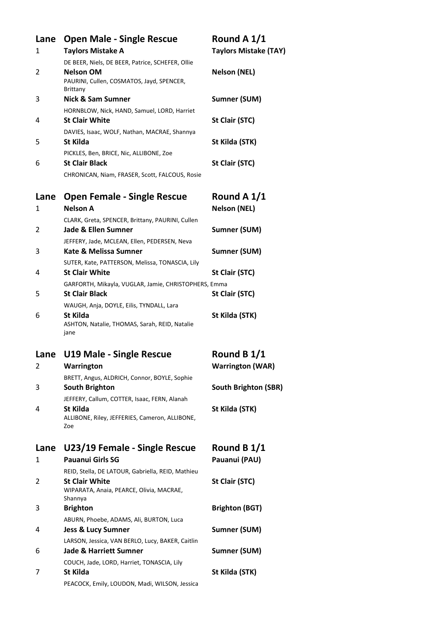| Lane<br>1 | <b>Open Male - Single Rescue</b><br><b>Taylors Mistake A</b>                                                                      | Round A 1/1<br><b>Taylors Mistake (TAY)</b> |
|-----------|-----------------------------------------------------------------------------------------------------------------------------------|---------------------------------------------|
| 2         | DE BEER, Niels, DE BEER, Patrice, SCHEFER, Ollie<br><b>Nelson OM</b><br>PAURINI, Cullen, COSMATOS, Jayd, SPENCER,                 | <b>Nelson (NEL)</b>                         |
| 3         | <b>Brittany</b><br><b>Nick &amp; Sam Sumner</b>                                                                                   | Sumner (SUM)                                |
| 4         | HORNBLOW, Nick, HAND, Samuel, LORD, Harriet<br><b>St Clair White</b>                                                              | St Clair (STC)                              |
| 5         | DAVIES, Isaac, WOLF, Nathan, MACRAE, Shannya<br>St Kilda                                                                          | St Kilda (STK)                              |
| 6         | PICKLES, Ben, BRICE, Nic, ALLIBONE, Zoe<br><b>St Clair Black</b><br>CHRONICAN, Niam, FRASER, Scott, FALCOUS, Rosie                | St Clair (STC)                              |
| Lane<br>1 | <b>Open Female - Single Rescue</b><br><b>Nelson A</b><br>CLARK, Greta, SPENCER, Brittany, PAURINI, Cullen                         | Round A 1/1<br><b>Nelson (NEL)</b>          |
| 2         | <b>Jade &amp; Ellen Sumner</b>                                                                                                    | Sumner (SUM)                                |
| 3         | JEFFERY, Jade, MCLEAN, Ellen, PEDERSEN, Neva<br>Kate & Melissa Sumner                                                             | Sumner (SUM)                                |
| 4         | SUTER, Kate, PATTERSON, Melissa, TONASCIA, Lily<br><b>St Clair White</b>                                                          | St Clair (STC)                              |
| 5         | GARFORTH, Mikayla, VUGLAR, Jamie, CHRISTOPHERS, Emma<br><b>St Clair Black</b>                                                     | St Clair (STC)                              |
| 6         | WAUGH, Anja, DOYLE, Eilis, TYNDALL, Lara<br>St Kilda<br>ASHTON, Natalie, THOMAS, Sarah, REID, Natalie<br>jane                     | St Kilda (STK)                              |
| Lane<br>2 | <b>U19 Male - Single Rescue</b><br>Warrington                                                                                     | Round B 1/1<br><b>Warrington (WAR)</b>      |
| 3         | BRETT, Angus, ALDRICH, Connor, BOYLE, Sophie<br><b>South Brighton</b>                                                             | <b>South Brighton (SBR)</b>                 |
| 4         | JEFFERY, Callum, COTTER, Isaac, FERN, Alanah<br>St Kilda<br>ALLIBONE, Riley, JEFFERIES, Cameron, ALLIBONE,<br>Zoe                 | St Kilda (STK)                              |
| Lane      | U23/19 Female - Single Rescue                                                                                                     | Round B 1/1                                 |
| 1         | <b>Pauanui Girls SG</b>                                                                                                           | Pauanui (PAU)                               |
| 2         | REID, Stella, DE LATOUR, Gabriella, REID, Mathieu<br><b>St Clair White</b><br>WIPARATA, Anaia, PEARCE, Olivia, MACRAE,<br>Shannya | St Clair (STC)                              |
| 3         | <b>Brighton</b>                                                                                                                   | <b>Brighton (BGT)</b>                       |
| 4         | ABURN, Phoebe, ADAMS, Ali, BURTON, Luca<br><b>Jess &amp; Lucy Sumner</b>                                                          | Sumner (SUM)                                |
| 6         | LARSON, Jessica, VAN BERLO, Lucy, BAKER, Caitlin<br><b>Jade &amp; Harriett Sumner</b>                                             | Sumner (SUM)                                |
| 7         | COUCH, Jade, LORD, Harriet, TONASCIA, Lily<br>St Kilda<br>PEACOCK, Emily, LOUDON, Madi, WILSON, Jessica                           | St Kilda (STK)                              |
|           |                                                                                                                                   |                                             |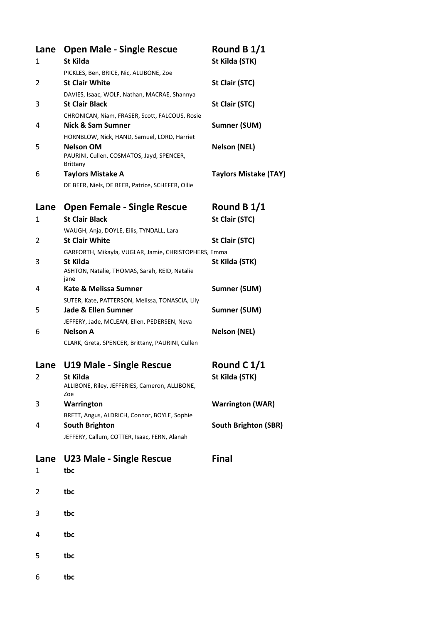| Lane<br>1 | <b>Open Male - Single Rescue</b><br><b>St Kilda</b>                                                                      | Round B 1/1<br>St Kilda (STK) |
|-----------|--------------------------------------------------------------------------------------------------------------------------|-------------------------------|
| 2         | PICKLES, Ben, BRICE, Nic, ALLIBONE, Zoe<br><b>St Clair White</b>                                                         | St Clair (STC)                |
| 3         | DAVIES, Isaac, WOLF, Nathan, MACRAE, Shannya<br><b>St Clair Black</b>                                                    | St Clair (STC)                |
| 4         | CHRONICAN, Niam, FRASER, Scott, FALCOUS, Rosie<br><b>Nick &amp; Sam Sumner</b>                                           | Sumner (SUM)                  |
| 5         | HORNBLOW, Nick, HAND, Samuel, LORD, Harriet<br><b>Nelson OM</b><br>PAURINI, Cullen, COSMATOS, Jayd, SPENCER,<br>Brittany | <b>Nelson (NEL)</b>           |
| 6         | <b>Taylors Mistake A</b><br>DE BEER, Niels, DE BEER, Patrice, SCHEFER, Ollie                                             | <b>Taylors Mistake (TAY)</b>  |
| Lane<br>1 | <b>Open Female - Single Rescue</b><br><b>St Clair Black</b>                                                              | Round B 1/1<br>St Clair (STC) |
| 2         | WAUGH, Anja, DOYLE, Eilis, TYNDALL, Lara<br><b>St Clair White</b>                                                        | St Clair (STC)                |
| 3         | GARFORTH, Mikayla, VUGLAR, Jamie, CHRISTOPHERS, Emma<br>St Kilda<br>ASHTON, Natalie, THOMAS, Sarah, REID, Natalie        | St Kilda (STK)                |
| 4         | jane<br>Kate & Melissa Sumner                                                                                            | Sumner (SUM)                  |
| 5         | SUTER, Kate, PATTERSON, Melissa, TONASCIA, Lily<br><b>Jade &amp; Ellen Sumner</b>                                        | Sumner (SUM)                  |
| 6         | JEFFERY, Jade, MCLEAN, Ellen, PEDERSEN, Neva<br><b>Nelson A</b>                                                          | <b>Nelson (NEL)</b>           |
|           | CLARK, Greta, SPENCER, Brittany, PAURINI, Cullen                                                                         |                               |
| Lane<br>2 | <b>U19 Male - Single Rescue</b><br>St Kilda<br>ALLIBONE, Riley, JEFFERIES, Cameron, ALLIBONE,                            | Round C1/1<br>St Kilda (STK)  |
| 3         | Zoe<br>Warrington                                                                                                        | <b>Warrington (WAR)</b>       |
| 4         | BRETT, Angus, ALDRICH, Connor, BOYLE, Sophie<br><b>South Brighton</b><br>JEFFERY, Callum, COTTER, Isaac, FERN, Alanah    | <b>South Brighton (SBR)</b>   |
| Lane<br>1 | U23 Male - Single Rescue<br>tbc                                                                                          | <b>Final</b>                  |
| 2         | tbc                                                                                                                      |                               |
| 3         | tbc                                                                                                                      |                               |
| 4         | tbc                                                                                                                      |                               |
| 5         | tbc                                                                                                                      |                               |
| 6         | tbc                                                                                                                      |                               |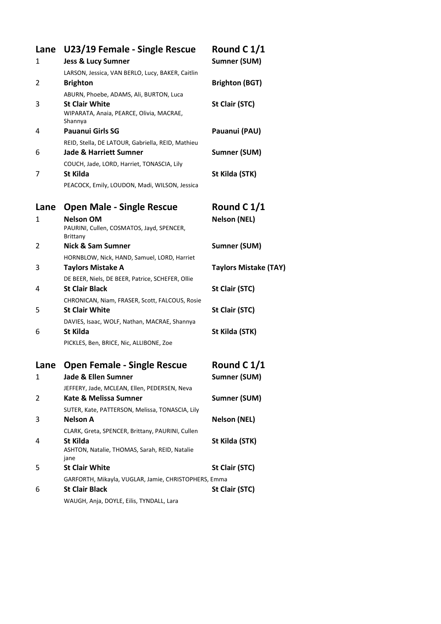| Lane<br>1 | U23/19 Female - Single Rescue<br><b>Jess &amp; Lucy Sumner</b>                                                            | Round C 1/1<br>Sumner (SUM)        |
|-----------|---------------------------------------------------------------------------------------------------------------------------|------------------------------------|
| 2         | LARSON, Jessica, VAN BERLO, Lucy, BAKER, Caitlin<br><b>Brighton</b>                                                       | <b>Brighton (BGT)</b>              |
| 3         | ABURN, Phoebe, ADAMS, Ali, BURTON, Luca<br><b>St Clair White</b><br>WIPARATA, Anaia, PEARCE, Olivia, MACRAE,<br>Shannya   | St Clair (STC)                     |
| 4         | <b>Pauanui Girls SG</b>                                                                                                   | Pauanui (PAU)                      |
| 6         | REID, Stella, DE LATOUR, Gabriella, REID, Mathieu<br><b>Jade &amp; Harriett Sumner</b>                                    | Sumner (SUM)                       |
| 7         | COUCH, Jade, LORD, Harriet, TONASCIA, Lily<br>St Kilda                                                                    | St Kilda (STK)                     |
|           | PEACOCK, Emily, LOUDON, Madi, WILSON, Jessica                                                                             |                                    |
| Lane<br>1 | <b>Open Male - Single Rescue</b><br><b>Nelson OM</b><br>PAURINI, Cullen, COSMATOS, Jayd, SPENCER,                         | Round C 1/1<br><b>Nelson (NEL)</b> |
| 2         | <b>Brittany</b><br><b>Nick &amp; Sam Sumner</b>                                                                           | Sumner (SUM)                       |
| 3         | HORNBLOW, Nick, HAND, Samuel, LORD, Harriet<br><b>Taylors Mistake A</b>                                                   | <b>Taylors Mistake (TAY)</b>       |
| 4         | DE BEER, Niels, DE BEER, Patrice, SCHEFER, Ollie<br><b>St Clair Black</b>                                                 | St Clair (STC)                     |
| 5         | CHRONICAN, Niam, FRASER, Scott, FALCOUS, Rosie<br><b>St Clair White</b>                                                   | St Clair (STC)                     |
| 6         | DAVIES, Isaac, WOLF, Nathan, MACRAE, Shannya<br>St Kilda<br>PICKLES, Ben, BRICE, Nic, ALLIBONE, Zoe                       | St Kilda (STK)                     |
| Lane      | <b>Open Female - Single Rescue</b>                                                                                        | Round C 1/1                        |
| 1         | Jade & Ellen Sumner                                                                                                       | Sumner (SUM)                       |
| 2         | JEFFERY, Jade, MCLEAN, Ellen, PEDERSEN, Neva<br><b>Kate &amp; Melissa Sumner</b>                                          | Sumner (SUM)                       |
| 3         | SUTER, Kate, PATTERSON, Melissa, TONASCIA, Lily<br><b>Nelson A</b>                                                        | <b>Nelson (NEL)</b>                |
| 4         | CLARK, Greta, SPENCER, Brittany, PAURINI, Cullen<br>St Kilda<br>ASHTON, Natalie, THOMAS, Sarah, REID, Natalie<br>jane     | St Kilda (STK)                     |
| 5         | <b>St Clair White</b>                                                                                                     | St Clair (STC)                     |
| 6         | GARFORTH, Mikayla, VUGLAR, Jamie, CHRISTOPHERS, Emma<br><b>St Clair Black</b><br>WAUGH, Anja, DOYLE, Eilis, TYNDALL, Lara | St Clair (STC)                     |